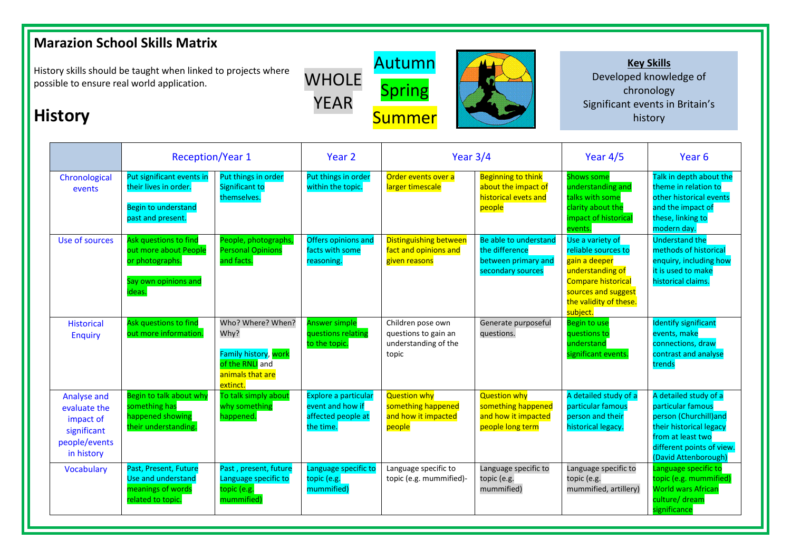## **Marazion School Skills Matrix**

**History**

History skills should be taught when linked to projects where possible to ensure real world application.

## WHOLE Autumn Spring **Summer**

## **Key Skills**  Developed knowledge of chronology Significant events in Britain's history

|                                                                                        | <b>Reception/Year 1</b>                                                                               |                                                                                                      | Year 2                                                                      | Year $3/4$                                                                 |                                                                                      | Year $4/5$                                                                                                                                                             | Year <sub>6</sub>                                                                                                                                                        |
|----------------------------------------------------------------------------------------|-------------------------------------------------------------------------------------------------------|------------------------------------------------------------------------------------------------------|-----------------------------------------------------------------------------|----------------------------------------------------------------------------|--------------------------------------------------------------------------------------|------------------------------------------------------------------------------------------------------------------------------------------------------------------------|--------------------------------------------------------------------------------------------------------------------------------------------------------------------------|
| Chronological<br>events                                                                | Put significant events in<br>their lives in order.<br><b>Begin to understand</b><br>past and present. | Put things in order<br>Significant to<br>themselves.                                                 | Put things in order<br>within the topic.                                    | Order events over a<br>larger timescale                                    | <b>Beginning to think</b><br>about the impact of<br>historical evets and<br>people   | <b>Shows some</b><br>understanding and<br>talks with some<br>clarity about the<br>impact of historical<br>events.                                                      | Talk in depth about the<br>theme in relation to<br>other historical events<br>and the impact of<br>these, linking to<br>modern day.                                      |
| Use of sources                                                                         | Ask questions to find<br>out more about People<br>or photographs.<br>Say own opinions and<br>ideas.   | People, photographs,<br><b>Personal Opinions</b><br>and facts.                                       | Offers opinions and<br>facts with some<br>reasoning.                        | <b>Distinguishing between</b><br>fact and opinions and<br>given reasons    | Be able to understand<br>the difference<br>between primary and<br>secondary sources  | Use a variety of<br>reliable sources to<br>gain a deeper<br>understanding of<br><b>Compare historical</b><br>sources and suggest<br>the validity of these.<br>subject. | <b>Understand the</b><br>methods of historical<br>enquiry, including how<br>it is used to make<br>historical claims.                                                     |
| <b>Historical</b><br><b>Enquiry</b>                                                    | Ask questions to find<br>out more information.                                                        | Who? Where? When?<br>Why?<br>Family history, work<br>of the RNLI and<br>animals that are<br>extinct. | <b>Answer simple</b><br>questions relating<br>to the topic.                 | Children pose own<br>questions to gain an<br>understanding of the<br>topic | Generate purposeful<br>questions.                                                    | <b>Begin to use</b><br>questions to<br>understand<br>significant events.                                                                                               | <b>Identify significant</b><br>events, make<br>connections, draw<br>contrast and analyse<br>trends                                                                       |
| Analyse and<br>evaluate the<br>impact of<br>significant<br>people/events<br>in history | Begin to talk about why<br>something has<br>happened showing<br>their understanding.                  | To talk simply about<br>why something<br>happened.                                                   | Explore a particular<br>event and how if<br>affected people at<br>the time. | <b>Question why</b><br>something happened<br>and how it impacted<br>people | <b>Question why</b><br>something happened<br>and how it impacted<br>people long term | A detailed study of a<br>particular famous<br>person and their<br>historical legacy.                                                                                   | A detailed study of a<br>particular famous<br>person (Churchill)and<br>their historical legacy<br>from at least two<br>different points of view.<br>(David Attenborough) |
| <b>Vocabulary</b>                                                                      | Past, Present, Future<br>Use and understand<br>meanings of words<br>related to topic.                 | Past, present, future<br>Language specific to<br>topic (e.g.<br>mummified)                           | Language specific to<br>topic (e.g.<br>mummified)                           | Language specific to<br>topic (e.g. mummified)-                            | Language specific to<br>topic (e.g.<br>mummified)                                    | Language specific to<br>topic (e.g.<br>mummified, artillery)                                                                                                           | Language specific to<br>topic (e.g. mummified)<br><b>World wars African</b><br>culture/ dream<br>significance                                                            |

YEAR